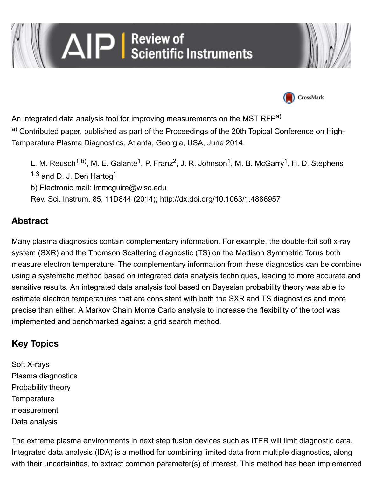# AIP | Review of<br>| AIP | Scientific Instruments





An integrated data analysis tool for improving measurements on the MST RFP<sup>a)</sup>

a) Contributed paper, published as part of the Proceedings of the 20th Topical Conference on High-Temperature Plasma Diagnostics, Atlanta, Georgia, USA, June 2014.

[L. M. Reusch](http://scitation.aip.org/content/contributor/AU1086712)<sup>1,b)</sup>, [M. E. Galante](http://scitation.aip.org/search?value1=M.+E.+Galante&option1=author&option912=resultCategory&value912=ResearchPublicationContent)<sup>1</sup>, [P. Franz](http://scitation.aip.org/content/contributor/AU0015976)<sup>2</sup>, [J. R. Johnson](http://scitation.aip.org/content/contributor/AU0953798)<sup>1</sup>, [M. B. McGarry](http://scitation.aip.org/search?value1=M.+B.+McGarry&option1=author&option912=resultCategory&value912=ResearchPublicationContent)<sup>1</sup>, [H. D. Stephens](http://scitation.aip.org/content/contributor/AU0852534)  $1,3$  and [D. J. Den Hartog](http://scitation.aip.org/search?value1=D.+J.+Den+Hartog&option1=author&option912=resultCategory&value912=ResearchPublicationContent)<sup>1</sup> b) Electronic mail: [lmmcguire@wisc.edu](mailto:lmmcguire@wisc.edu) Rev. Sci. Instrum. 85, 11D844 (2014);<http://dx.doi.org/10.1063/1.4886957>

## **Abstract**

Many plasma diagnostics contain complementary information. For example, the double-foil soft x-ray system (SXR) and the Thomson Scattering diagnostic (TS) on the Madison Symmetric Torus both measure electron temperature. The complementary information from these diagnostics can be combined using a systematic method based on integrated data analysis techniques, leading to more accurate and sensitive results. An integrated data analysis tool based on Bayesian probability theory was able to estimate electron temperatures that are consistent with both the SXR and TS diagnostics and more precise than either. A Markov Chain Monte Carlo analysis to increase the flexibility of the tool was implemented and benchmarked against a grid search method.

## **Key Topics**

[Soft X-rays](http://scitation.aip.org/content/topic/soft-x-rays) [Plasma diagnostics](http://scitation.aip.org/content/topic/plasma-diagnostics) [Probability theory](http://scitation.aip.org/content/topic/probability-theory) **Temperature** [measurement](http://scitation.aip.org/content/topic/temperature-measurement) [Data analysis](http://scitation.aip.org/content/topic/data-analysis)

The extreme plasma environments in next step fusion devices such as ITER will limit diagnostic data. Integrated data analysis (IDA) is a method for combining limited data from multiple diagnostics, along with their uncertainties, to extract common parameter(s) of interest. This method has been implemented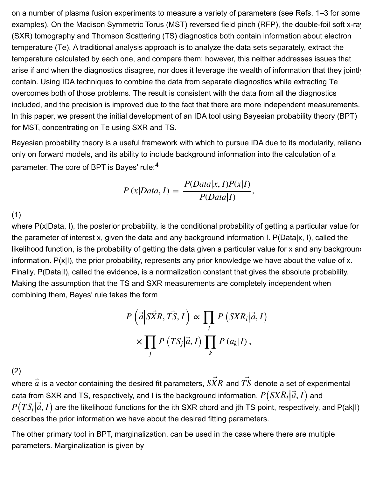on a number of plasma fusion experiments to measure a variety of parameters (see Refs. [1–3](http://scitation.aip.org/content/aip/journal/rsi/85/11/10.1063/1.4886957#c1) for some examples). On the Madison Symmetric Torus (MST) reversed field pinch (RFP), the double-foil soft x-ray (SXR) tomography and Thomson Scattering (TS) diagnostics both contain information about electron temperature (Te). A traditional analysis approach is to analyze the data sets separately, extract the temperature calculated by each one, and compare them; however, this neither addresses issues that arise if and when the diagnostics disagree, nor does it leverage the wealth of information that they jointly contain. Using IDA techniques to combine the data from separate diagnostics while extracting Te overcomes both of those problems. The result is consistent with the data from all the diagnostics included, and the precision is improved due to the fact that there are more independent measurements. In this paper, we present the initial development of an IDA tool using Bayesian probability theory (BPT) for MST, concentrating on Te using SXR and TS.

Bayesian probability theory is a useful framework with which to pursue IDA due to its modularity, reliance only on forward models, and its ability to include background information into the calculation of a parameter. The core of BPT is Bayes' rule:[4](http://scitation.aip.org/content/aip/journal/rsi/85/11/10.1063/1.4886957#c4)

$$
P(x|Data, I) = \frac{P(Data|x, I)P(x|I)}{P(Data|I)},
$$

(1)

where P(x|Data, I), the posterior probability, is the conditional probability of getting a particular value for the parameter of interest x, given the data and any background information I. P(Data|x, I), called the likelihood function, is the probability of getting the data given a particular value for x and any background information. P(x|I), the prior probability, represents any prior knowledge we have about the value of x. Finally, P(Data|I), called the evidence, is a normalization constant that gives the absolute probability. Making the assumption that the TS and SXR measurements are completely independent when combining them, Bayes' rule takes the form

$$
P\left(\vec{a}\middle|\vec{SXR},\vec{TS},I\right) \propto \prod_{i} P\left(SXR_i\middle|\vec{a},I\right) \times \prod_{j} P\left(TS_j\middle|\vec{a},I\right) \prod_{k} P\left(a_k\middle|I\right),
$$

(2)

where  $\vec{\bar{a}}$  is a vector containing the desired fit parameters,  $\vec{SXR}$  and  $\vec{TS}$  denote a set of experimental data from SXR and TS, respectively, and I is the background information.  $P\big( S X R_i \big| \vec{a}, I \big)$  and  $P\big(TS_j\big|\vec{a},I\big)$  are the likelihood functions for the ith SXR chord and jth TS point, respectively, and P(ak|I) describes the prior information we have about the desired fitting parameters. ⃗

The other primary tool in BPT, marginalization, can be used in the case where there are multiple parameters. Marginalization is given by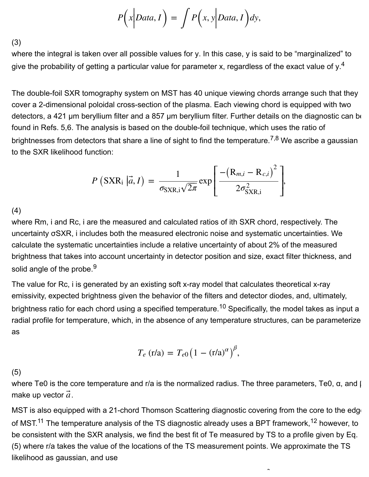$$
P\Big(x\Big| Data, I\Big) = \int P\Big(x, y\Big| Data, I\Big) dy,
$$

(3)

where the integral is taken over all possible values for y. In this case, y is said to be "marginalized" to give the probability of getting a particular value for parameter x, regardless of the exact value of y.<sup>[4](http://scitation.aip.org/content/aip/journal/rsi/85/11/10.1063/1.4886957#c4)</sup>

The double-foil SXR tomography system on MST has 40 unique viewing chords arrange such that they cover a 2-dimensional poloidal cross-section of the plasma. Each viewing chord is equipped with two detectors, a 421 µm beryllium filter and a 857 µm beryllium filter. Further details on the diagnostic can be found in Refs. [5,6](http://scitation.aip.org/content/aip/journal/rsi/85/11/10.1063/1.4886957#c5). The analysis is based on the double-foil technique, which uses the ratio of brightnesses from detectors that share a line of sight to find the temperature.<sup>[7,8](http://scitation.aip.org/content/aip/journal/rsi/85/11/10.1063/1.4886957#c7)</sup> We ascribe a gaussian to the SXR likelihood function:

$$
P\left(\text{SXR}_{i} | \vec{a}, I\right) = \frac{1}{\sigma_{\text{SXR},i}\sqrt{2\pi}} \exp\left[\frac{-\left(\mathbf{R}_{m,i} - \mathbf{R}_{c,i}\right)^{2}}{2\sigma_{\text{SXR},i}^{2}}\right],
$$

(4)

where Rm, i and Rc, i are the measured and calculated ratios of ith SXR chord, respectively. The uncertainty σSXR, i includes both the measured electronic noise and systematic uncertainties. We calculate the systematic uncertainties include a relative uncertainty of about 2% of the measured brightness that takes into account uncertainty in detector position and size, exact filter thickness, and solid angle of the probe.<sup>[9](http://scitation.aip.org/content/aip/journal/rsi/85/11/10.1063/1.4886957#c9)</sup>

The value for Rc, i is generated by an existing soft x-ray model that calculates theoretical x-ray emissivity, expected brightness given the behavior of the filters and detector diodes, and, ultimately, brightness ratio for each chord using a specified temperature.<sup>[10](http://scitation.aip.org/content/aip/journal/rsi/85/11/10.1063/1.4886957#c10)</sup> Specifically, the model takes as input a radial profile for temperature, which, in the absence of any temperature structures, can be parameterize as

$$
T_e \text{ (r/a)} = T_{e0} \left( 1 - \text{(r/a)}^\alpha \right)^\beta,
$$

(5)

where Te0 is the core temperature and r/a is the normalized radius. The three parameters, Te0,  $α$ , and  $β$ make up vector  $\vec{a}$  .

MST is also equipped with a 21-chord Thomson Scattering diagnostic covering from the core to the edge of MST.<sup>11</sup> The temperature analysis of the TS diagnostic already uses a BPT framework, <sup>12</sup> however, to be consistent with the SXR analysis, we find the best fit of Te measured by TS to a profile given by Eq. [\(5\)](http://scitation.aip.org/content/aip/journal/rsi/85/11/10.1063/1.4886957#d5) where r/a takes the value of the locations of the TS measurement points. We approximate the TS likelihood as gaussian, and use

− 2 de 2 de 2 de 2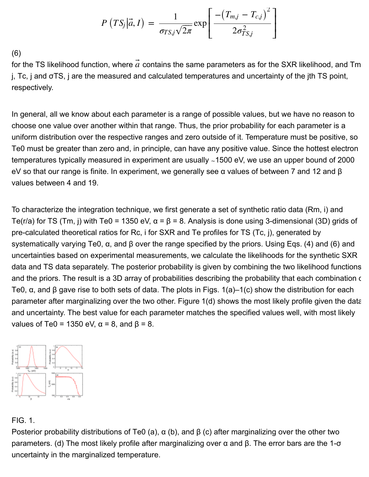$$
P\left(TS_j|\vec{a},I\right) = \frac{1}{\sigma_{TS,j}\sqrt{2\pi}}\exp\left[\frac{-\left(T_{mj}-T_{c,j}\right)^2}{2\sigma_{TS,j}^2}\right]
$$

(6)

for the TS likelihood function, where  $\vec{a}$  contains the same parameters as for the SXR likelihood, and Tm j, Tc, j and σTS, j are the measured and calculated temperatures and uncertainty of the jth TS point, respectively.

In general, all we know about each parameter is a range of possible values, but we have no reason to choose one value over another within that range. Thus, the prior probability for each parameter is a uniform distribution over the respective ranges and zero outside of it. Temperature must be positive, so Te0 must be greater than zero and, in principle, can have any positive value. Since the hottest electron temperatures typically measured in experiment are usually ∼1500 eV, we use an upper bound of 2000 eV so that our range is finite. In experiment, we generally see α values of between 7 and 12 and β values between 4 and 19.

To characterize the integration technique, we first generate a set of synthetic ratio data (Rm, i) and Te(r/a) for TS (Tm, j) with Te0 = 1350 eV,  $\alpha$  =  $\beta$  = 8. Analysis is done using 3-dimensional (3D) grids of pre-calculated theoretical ratios for Rc, i for SXR and Te profiles for TS (Tc, j), generated by systematically varying Te0, α, and β over the range specified by the priors. Using Eqs. [\(4\) and \(6\)](http://scitation.aip.org/content/aip/journal/rsi/85/11/10.1063/1.4886957#d4) and uncertainties based on experimental measurements, we calculate the likelihoods for the synthetic SXR data and TS data separately. The posterior probability is given by combining the two likelihood functions and the priors. The result is a 3D array of probabilities describing the probability that each combination of Te0,  $\alpha$ , and β gave rise to both sets of data. The plots in Figs. [1\(a\)–1\(c\)](http://scitation.aip.org/content/aip/journal/rsi/85/11/10.1063/1.4886957#f1) show the distribution for each parameter after marginalizing over the two other. Figure [1\(d\)](http://scitation.aip.org/content/aip/journal/rsi/85/11/10.1063/1.4886957#f1) shows the most likely profile given the data and uncertainty. The best value for each parameter matches the specified values well, with most likely values of Te0 = 1350 eV,  $\alpha$  = 8, and  $\beta$  = 8.



#### FIG. 1.

Posterior probability distributions of Te0 (a),  $\alpha$  (b), and  $\beta$  (c) after marginalizing over the other two parameters. (d) The most likely profile after marginalizing over α and β. The error bars are the 1-σ uncertainty in the marginalized temperature.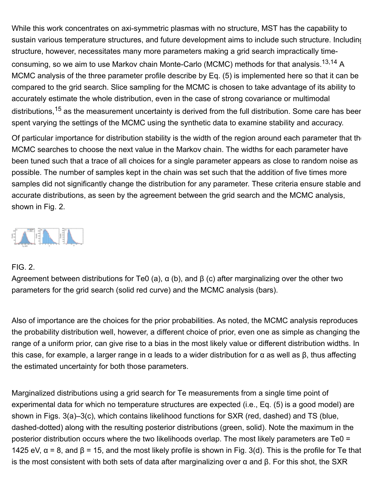While this work concentrates on axi-symmetric plasmas with no structure, MST has the capability to sustain various temperature structures, and future development aims to include such structure. Including structure, however, necessitates many more parameters making a grid search impractically timeconsuming, so we aim to use Markov chain Monte-Carlo (MCMC) methods for that analysis.<sup>13,14</sup> A MCMC analysis of the three parameter profile describe by Eq. [\(5\)](http://scitation.aip.org/content/aip/journal/rsi/85/11/10.1063/1.4886957#d5) is implemented here so that it can be compared to the grid search. Slice sampling for the MCMC is chosen to take advantage of its ability to accurately estimate the whole distribution, even in the case of strong covariance or multimodal distributions,<sup>[15](http://scitation.aip.org/content/aip/journal/rsi/85/11/10.1063/1.4886957#c15)</sup> as the measurement uncertainty is derived from the full distribution. Some care has beer spent varying the settings of the MCMC using the synthetic data to examine stability and accuracy.

Of particular importance for distribution stability is the width of the region around each parameter that the MCMC searches to choose the next value in the Markov chain. The widths for each parameter have been tuned such that a trace of all choices for a single parameter appears as close to random noise as possible. The number of samples kept in the chain was set such that the addition of five times more samples did not significantly change the distribution for any parameter. These criteria ensure stable and accurate distributions, as seen by the agreement between the grid search and the MCMC analysis, shown in Fig. [2](http://scitation.aip.org/content/aip/journal/rsi/85/11/10.1063/1.4886957#f2).



#### FIG. 2.

Agreement between distributions for Te0 (a),  $\alpha$  (b), and  $\beta$  (c) after marginalizing over the other two parameters for the grid search (solid red curve) and the MCMC analysis (bars).

Also of importance are the choices for the prior probabilities. As noted, the MCMC analysis reproduces the probability distribution well, however, a different choice of prior, even one as simple as changing the range of a uniform prior, can give rise to a bias in the most likely value or different distribution widths. In this case, for example, a larger range in α leads to a wider distribution for α as well as β, thus affecting the estimated uncertainty for both those parameters.

Marginalized distributions using a grid search for Te measurements from a single time point of experimental data for which no temperature structures are expected (i.e., Eq. [\(5\)](http://scitation.aip.org/content/aip/journal/rsi/85/11/10.1063/1.4886957#d5) is a good model) are shown in Figs. [3\(a\)–3\(c\)](http://scitation.aip.org/content/aip/journal/rsi/85/11/10.1063/1.4886957#f3), which contains likelihood functions for SXR (red, dashed) and TS (blue, dashed-dotted) along with the resulting posterior distributions (green, solid). Note the maximum in the posterior distribution occurs where the two likelihoods overlap. The most likely parameters are Te0 = 1425 eV,  $\alpha$  = 8, and  $\beta$  = 15, and the most likely profile is shown in Fig. [3\(d\)](http://scitation.aip.org/content/aip/journal/rsi/85/11/10.1063/1.4886957#f3). This is the profile for Te that is the most consistent with both sets of data after marginalizing over α and β. For this shot, the SXR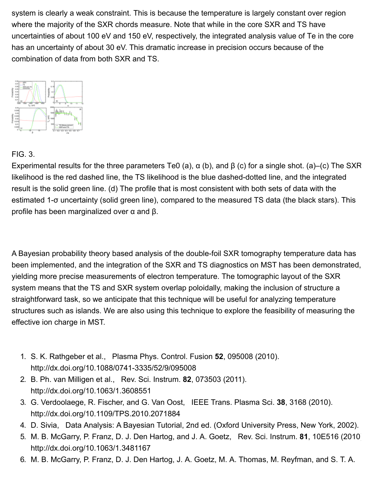system is clearly a weak constraint. This is because the temperature is largely constant over region where the majority of the SXR chords measure. Note that while in the core SXR and TS have uncertainties of about 100 eV and 150 eV, respectively, the integrated analysis value of Te in the core has an uncertainty of about 30 eV. This dramatic increase in precision occurs because of the combination of data from both SXR and TS.



### FIG. 3.

Experimental results for the three parameters Te0 (a),  $\alpha$  (b), and  $\beta$  (c) for a single shot. (a)–(c) The SXR likelihood is the red dashed line, the TS likelihood is the blue dashed-dotted line, and the integrated result is the solid green line. (d) The profile that is most consistent with both sets of data with the estimated 1-σ uncertainty (solid green line), compared to the measured TS data (the black stars). This profile has been marginalized over α and β.

A Bayesian probability theory based analysis of the double-foil SXR tomography temperature data has been implemented, and the integration of the SXR and TS diagnostics on MST has been demonstrated, yielding more precise measurements of electron temperature. The tomographic layout of the SXR system means that the TS and SXR system overlap poloidally, making the inclusion of structure a straightforward task, so we anticipate that this technique will be useful for analyzing temperature structures such as islands. We are also using this technique to explore the feasibility of measuring the effective ion charge in MST.

- 1. S. K. Rathgeber et al., Plasma Phys. Control. Fusion **52**, 095008 (2010). <http://dx.doi.org/10.1088/0741-3335/52/9/095008>
- 2. B. Ph. van Milligen et al., Rev. Sci. Instrum. **82**, 073503 (2011). <http://dx.doi.org/10.1063/1.3608551>
- 3. G. Verdoolaege, R. Fischer, and G. Van Oost, IEEE Trans. Plasma Sci. **38**, 3168 (2010). <http://dx.doi.org/10.1109/TPS.2010.2071884>
- 4. D. Sivia, Data Analysis: A Bayesian Tutorial, 2nd ed. (Oxford University Press, New York, 2002).
- 5. M. B. McGarry, P. Franz, D. J. Den Hartog, and J. A. Goetz, Rev. Sci. Instrum. **81**, 10E516 (2010). <http://dx.doi.org/10.1063/1.3481167>
- 6. M. B. McGarry, P. Franz, D. J. Den Hartog, J. A. Goetz, M. A. Thomas, M. Reyfman, and S. T. A.